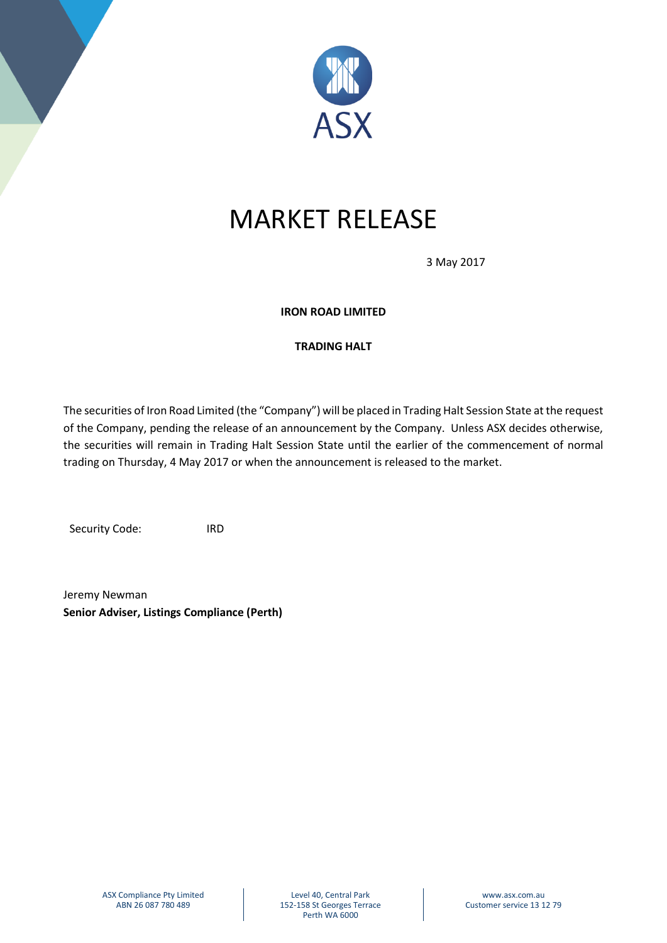

# MARKET RELEASE

3 May 2017

### **IRON ROAD LIMITED**

## **TRADING HALT**

The securities of Iron Road Limited (the "Company") will be placed in Trading Halt Session State at the request of the Company, pending the release of an announcement by the Company. Unless ASX decides otherwise, the securities will remain in Trading Halt Session State until the earlier of the commencement of normal trading on Thursday, 4 May 2017 or when the announcement is released to the market.

Security Code: IRD

Jeremy Newman **Senior Adviser, Listings Compliance (Perth)**